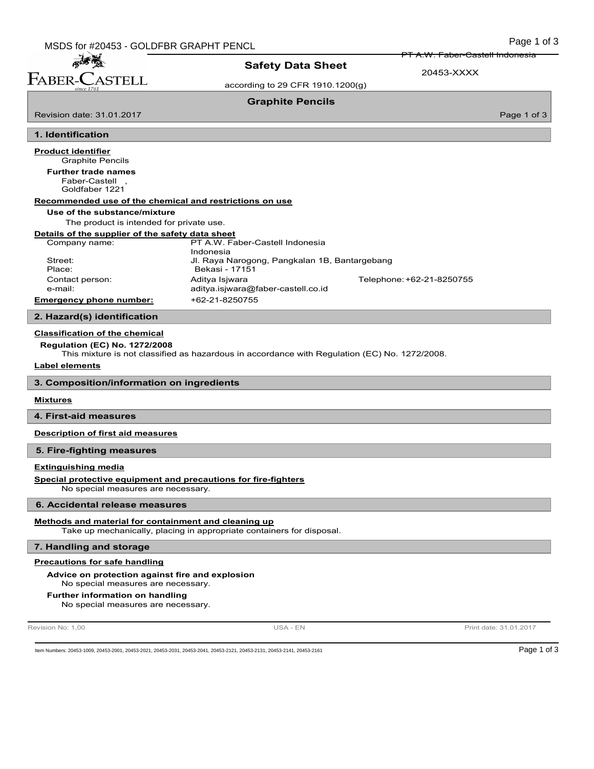孟子蒂 FABER-CASTELL

Revision date: 31.01.2017

# Safety Data Sheet

A.W. Faber-Castell Indonesia

according to 29 CFR 1910.1200(g)

20453-XXXX

# Graphite Pencils

Page 1 of 3

# 1. Identification

Graphite Pencils Product identifier Faber-Castell , Goldfaber 1221 Further trade names Recommended use of the chemical and restrictions on use Use of the substance/mixture The product is intended for private use. Details of the supplier of the safety data sheet Company name: PT A.W. Faber-Castell Indonesia Indonesia Street: Jl. Raya Narogong, Pangkalan 1B, Bantargebang Place: Bekasi - 17151 Contact person: Aditya Isjwara Telephone:+62-21-8250755 e-mail: aditya.isjwara@faber-castell.co.id Emergency phone number: +62-21-8250755

## 2. Hazard(s) identification

## Classification of the chemical

Regulation (EC) No. 1272/2008

This mixture is not classified as hazardous in accordance with Regulation (EC) No. 1272/2008.

#### Label elements

3. Composition/information on ingredients

## **Mixtures**

4. First-aid measures

Description of first aid measures

#### 5. Fire-fighting measures

### Extinguishing media

Special protective equipment and precautions for fire-fighters

No special measures are necessary.

## 6. Accidental release measures

#### Methods and material for containment and cleaning up

Take up mechanically, placing in appropriate containers for disposal.

#### 7. Handling and storage

# Precautions for safe handling

## Advice on protection against fire and explosion

No special measures are necessary.

#### Further information on handling

No special measures are necessary.

Revision No: 1,00 **Print date: 31.01.2017** USA - EN USA - EN Print date: 31.01.2017

Item Numbers: 20453-1009, 20453-2001, 20453-2021, 20453-2031, 20453-2041, 20453-2131, 20453-2131, 20453-2141, 20453-2141, 20453-2141, 20453-2141, 20453-2141, 20453-2141, 20453-2161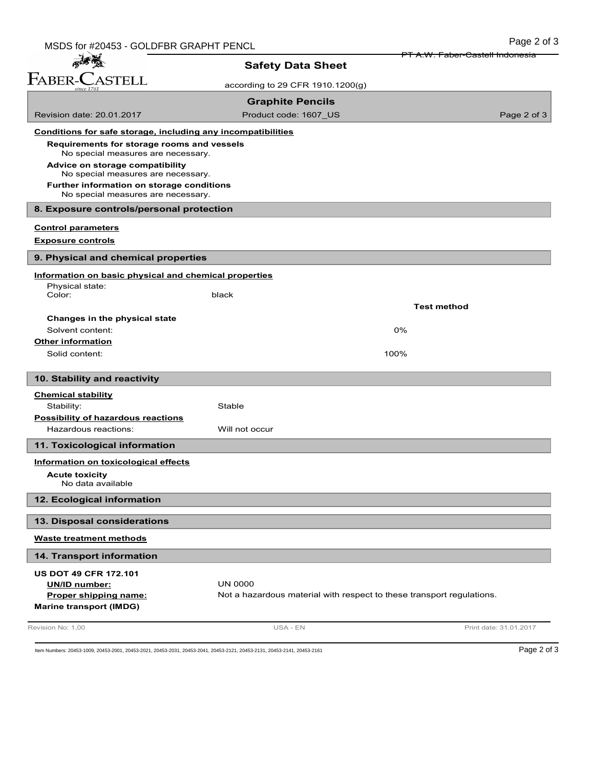| MSDS for #20453 - GOLDFBR GRAPHT PENCL                                           |                                                                       | Page 2 of 3                                |
|----------------------------------------------------------------------------------|-----------------------------------------------------------------------|--------------------------------------------|
| <b>Safety Data Sheet</b>                                                         |                                                                       | <del>PT A.W. Faber-Castell Indonesia</del> |
| FABER-CASTELL                                                                    |                                                                       |                                            |
|                                                                                  | according to 29 CFR 1910.1200(g)                                      |                                            |
|                                                                                  | <b>Graphite Pencils</b>                                               |                                            |
| Revision date: 20.01.2017                                                        | Product code: 1607 US                                                 | Page 2 of 3                                |
| Conditions for safe storage, including any incompatibilities                     |                                                                       |                                            |
| Requirements for storage rooms and vessels<br>No special measures are necessary. |                                                                       |                                            |
| Advice on storage compatibility<br>No special measures are necessary.            |                                                                       |                                            |
| Further information on storage conditions<br>No special measures are necessary.  |                                                                       |                                            |
| 8. Exposure controls/personal protection                                         |                                                                       |                                            |
| <b>Control parameters</b>                                                        |                                                                       |                                            |
| <b>Exposure controls</b>                                                         |                                                                       |                                            |
| 9. Physical and chemical properties                                              |                                                                       |                                            |
| Information on basic physical and chemical properties                            |                                                                       |                                            |
| Physical state:<br>Color:                                                        | black                                                                 |                                            |
|                                                                                  |                                                                       | <b>Test method</b>                         |
| Changes in the physical state                                                    |                                                                       |                                            |
| Solvent content:                                                                 |                                                                       | 0%                                         |
| <b>Other information</b>                                                         |                                                                       |                                            |
| Solid content:                                                                   |                                                                       | 100%                                       |
| 10. Stability and reactivity                                                     |                                                                       |                                            |
| <b>Chemical stability</b>                                                        |                                                                       |                                            |
| Stability:                                                                       | Stable                                                                |                                            |
| Possibility of hazardous reactions<br>Hazardous reactions:                       | Will not occur                                                        |                                            |
| 11. Toxicological information                                                    |                                                                       |                                            |
| Information on toxicological effects                                             |                                                                       |                                            |
| <b>Acute toxicity</b><br>No data available                                       |                                                                       |                                            |
| 12. Ecological information                                                       |                                                                       |                                            |
| 13. Disposal considerations                                                      |                                                                       |                                            |
| <b>Waste treatment methods</b>                                                   |                                                                       |                                            |
| 14. Transport information                                                        |                                                                       |                                            |
| <b>US DOT 49 CFR 172.101</b>                                                     |                                                                       |                                            |
| UN/ID number:                                                                    | <b>UN 0000</b>                                                        |                                            |
| Proper shipping name:<br><b>Marine transport (IMDG)</b>                          | Not a hazardous material with respect to these transport regulations. |                                            |
| Revision No: 1,00                                                                | USA - EN                                                              | Print date: 31.01.2017                     |

Item Numbers: 20453-1009, 20453-2001, 20453-2021, 20453-2031, 20453-2041, 20453-2121, 20453-2131, 20453-2141, 20453-2161 Page 2 of 3